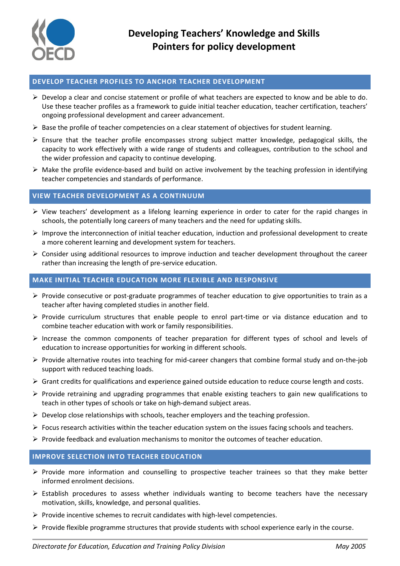

## **DEVELOP TEACHER PROFILES TO ANCHOR TEACHER DEVELOPMENT**

- $\triangleright$  Develop a clear and concise statement or profile of what teachers are expected to know and be able to do. Use these teacher profiles as a framework to guide initial teacher education, teacher certification, teachers' ongoing professional development and career advancement.
- $\triangleright$  Base the profile of teacher competencies on a clear statement of objectives for student learning.
- Ensure that the teacher profile encompasses strong subject matter knowledge, pedagogical skills, the capacity to work effectively with a wide range of students and colleagues, contribution to the school and the wider profession and capacity to continue developing.
- $\triangleright$  Make the profile evidence-based and build on active involvement by the teaching profession in identifying teacher competencies and standards of performance.

# **VIEW TEACHER DEVELOPMENT AS A CONTINUUM**

- $\triangleright$  View teachers' development as a lifelong learning experience in order to cater for the rapid changes in schools, the potentially long careers of many teachers and the need for updating skills.
- $\triangleright$  Improve the interconnection of initial teacher education, induction and professional development to create a more coherent learning and development system for teachers.
- $\triangleright$  Consider using additional resources to improve induction and teacher development throughout the career rather than increasing the length of pre-service education.

# **MAKE INITIAL TEACHER EDUCATION MORE FLEXIBLE AND RESPONSIVE**

- $\triangleright$  Provide consecutive or post-graduate programmes of teacher education to give opportunities to train as a teacher after having completed studies in another field.
- $\triangleright$  Provide curriculum structures that enable people to enrol part-time or via distance education and to combine teacher education with work or family responsibilities.
- $\triangleright$  Increase the common components of teacher preparation for different types of school and levels of education to increase opportunities for working in different schools.
- $\triangleright$  Provide alternative routes into teaching for mid-career changers that combine formal study and on-the-job support with reduced teaching loads.
- $\triangleright$  Grant credits for qualifications and experience gained outside education to reduce course length and costs.
- $\triangleright$  Provide retraining and upgrading programmes that enable existing teachers to gain new qualifications to teach in other types of schools or take on high-demand subject areas.
- $\triangleright$  Develop close relationships with schools, teacher employers and the teaching profession.
- $\triangleright$  Focus research activities within the teacher education system on the issues facing schools and teachers.
- $\triangleright$  Provide feedback and evaluation mechanisms to monitor the outcomes of teacher education.

## **IMPROVE SELECTION INTO TEACHER EDUCATION**

- $\triangleright$  Provide more information and counselling to prospective teacher trainees so that they make better informed enrolment decisions.
- $\triangleright$  Establish procedures to assess whether individuals wanting to become teachers have the necessary motivation, skills, knowledge, and personal qualities.
- $\triangleright$  Provide incentive schemes to recruit candidates with high-level competencies.
- $\triangleright$  Provide flexible programme structures that provide students with school experience early in the course.